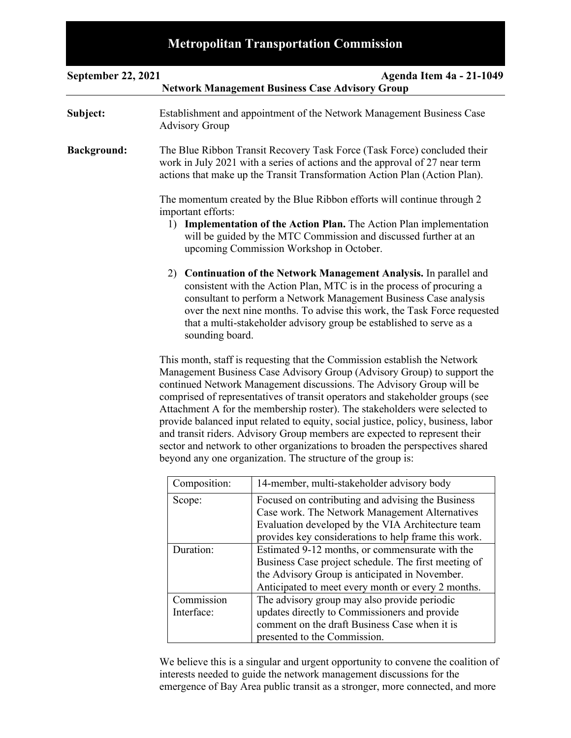# **Metropolitan Transportation Commission**

| <b>September 22, 2021</b> |                                                                                                                                                                                                                                                                                                                                                                                                                                                                                                                                                                                                                                                                                                               | <b>Agenda Item 4a - 21-1049</b><br><b>Network Management Business Case Advisory Group</b>                                                                                                                        |
|---------------------------|---------------------------------------------------------------------------------------------------------------------------------------------------------------------------------------------------------------------------------------------------------------------------------------------------------------------------------------------------------------------------------------------------------------------------------------------------------------------------------------------------------------------------------------------------------------------------------------------------------------------------------------------------------------------------------------------------------------|------------------------------------------------------------------------------------------------------------------------------------------------------------------------------------------------------------------|
| Subject:                  | Establishment and appointment of the Network Management Business Case<br><b>Advisory Group</b>                                                                                                                                                                                                                                                                                                                                                                                                                                                                                                                                                                                                                |                                                                                                                                                                                                                  |
| <b>Background:</b>        | The Blue Ribbon Transit Recovery Task Force (Task Force) concluded their<br>work in July 2021 with a series of actions and the approval of 27 near term<br>actions that make up the Transit Transformation Action Plan (Action Plan).                                                                                                                                                                                                                                                                                                                                                                                                                                                                         |                                                                                                                                                                                                                  |
|                           | The momentum created by the Blue Ribbon efforts will continue through 2<br>important efforts:<br><b>Implementation of the Action Plan.</b> The Action Plan implementation<br>1)<br>will be guided by the MTC Commission and discussed further at an<br>upcoming Commission Workshop in October.                                                                                                                                                                                                                                                                                                                                                                                                               |                                                                                                                                                                                                                  |
|                           | <b>Continuation of the Network Management Analysis.</b> In parallel and<br>2)<br>consistent with the Action Plan, MTC is in the process of procuring a<br>consultant to perform a Network Management Business Case analysis<br>over the next nine months. To advise this work, the Task Force requested<br>that a multi-stakeholder advisory group be established to serve as a<br>sounding board.                                                                                                                                                                                                                                                                                                            |                                                                                                                                                                                                                  |
|                           | This month, staff is requesting that the Commission establish the Network<br>Management Business Case Advisory Group (Advisory Group) to support the<br>continued Network Management discussions. The Advisory Group will be<br>comprised of representatives of transit operators and stakeholder groups (see<br>Attachment A for the membership roster). The stakeholders were selected to<br>provide balanced input related to equity, social justice, policy, business, labor<br>and transit riders. Advisory Group members are expected to represent their<br>sector and network to other organizations to broaden the perspectives shared<br>beyond any one organization. The structure of the group is: |                                                                                                                                                                                                                  |
|                           | Composition:                                                                                                                                                                                                                                                                                                                                                                                                                                                                                                                                                                                                                                                                                                  | 14-member, multi-stakeholder advisory body                                                                                                                                                                       |
|                           | Scope:                                                                                                                                                                                                                                                                                                                                                                                                                                                                                                                                                                                                                                                                                                        | Focused on contributing and advising the Business<br>Case work. The Network Management Alternatives<br>Evaluation developed by the VIA Architecture team<br>provides key considerations to help frame this work. |
|                           | Duration:                                                                                                                                                                                                                                                                                                                                                                                                                                                                                                                                                                                                                                                                                                     | Estimated 9-12 months, or commensurate with the<br>Business Case project schedule. The first meeting of<br>the Advisory Group is anticipated in November.<br>Anticipated to meet every month or every 2 months.  |
|                           | Commission<br>Interface:                                                                                                                                                                                                                                                                                                                                                                                                                                                                                                                                                                                                                                                                                      | The advisory group may also provide periodic<br>updates directly to Commissioners and provide                                                                                                                    |

We believe this is a singular and urgent opportunity to convene the coalition of interests needed to guide the network management discussions for the emergence of Bay Area public transit as a stronger, more connected, and more

presented to the Commission.

comment on the draft Business Case when it is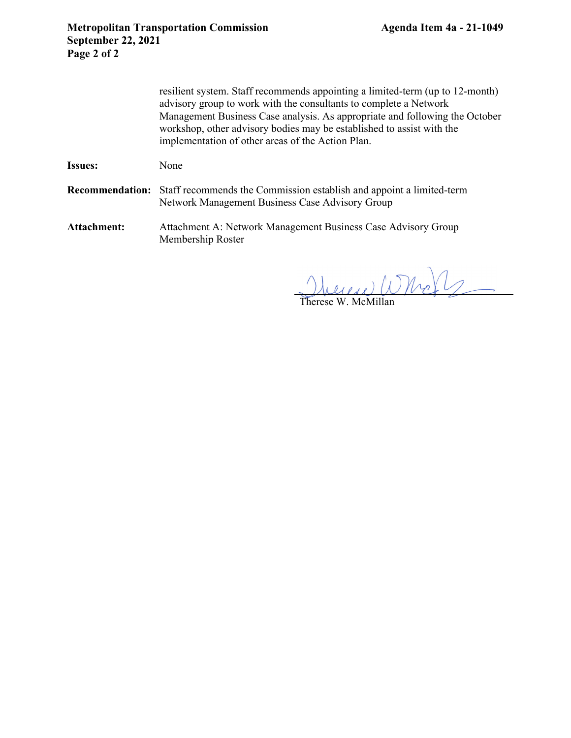resilient system. Staff recommends appointing a limited-term (up to 12-month) advisory group to work with the consultants to complete a Network Management Business Case analysis. As appropriate and following the October workshop, other advisory bodies may be established to assist with the implementation of other areas of the Action Plan.

Issues: None

**Recommendation:** Staff recommends the Commission establish and appoint a limited-term Network Management Business Case Advisory Group

Attachment: Attachment A: Network Management Business Case Advisory Group Membership Roster

herene Whole

Therese W. McMillan